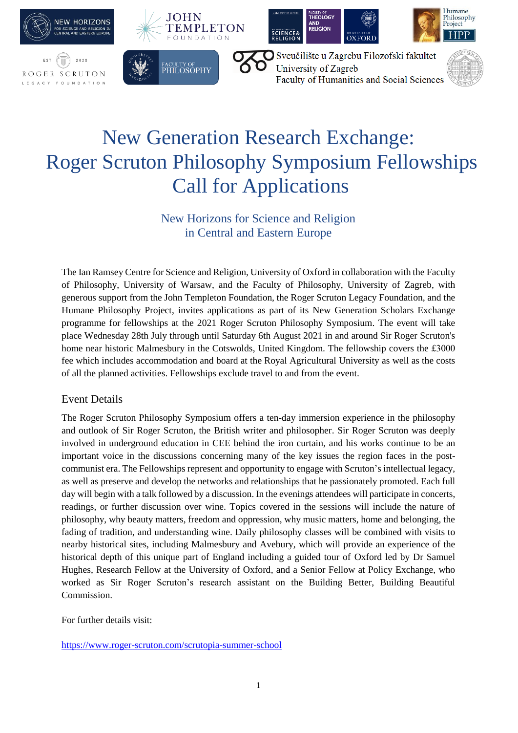

# New Generation Research Exchange: Roger Scruton Philosophy Symposium Fellowships Call for Applications

New Horizons for Science and Religion in Central and Eastern Europe

The Ian Ramsey Centre for Science and Religion, University of Oxford in collaboration with the Faculty of Philosophy, University of Warsaw, and the Faculty of Philosophy, University of Zagreb, with generous support from the John Templeton Foundation, the Roger Scruton Legacy Foundation, and the Humane Philosophy Project, invites applications as part of its New Generation Scholars Exchange programme for fellowships at the 2021 Roger Scruton Philosophy Symposium. The event will take place Wednesday 28th July through until Saturday 6th August 2021 in and around Sir Roger Scruton's home near historic Malmesbury in the Cotswolds, United Kingdom. The fellowship covers the £3000 fee which includes accommodation and board at the Royal Agricultural University as well as the costs of all the planned activities. Fellowships exclude travel to and from the event.

### Event Details

The Roger Scruton Philosophy Symposium offers a ten-day immersion experience in the philosophy and outlook of Sir Roger Scruton, the British writer and philosopher. Sir Roger Scruton was deeply involved in underground education in CEE behind the iron curtain, and his works continue to be an important voice in the discussions concerning many of the key issues the region faces in the postcommunist era. The Fellowships represent and opportunity to engage with Scruton's intellectual legacy, as well as preserve and develop the networks and relationships that he passionately promoted. Each full day will begin with a talk followed by a discussion. In the evenings attendees will participate in concerts, readings, or further discussion over wine. Topics covered in the sessions will include the nature of philosophy, why beauty matters, freedom and oppression, why music matters, home and belonging, the fading of tradition, and understanding wine. Daily philosophy classes will be combined with visits to nearby historical sites, including Malmesbury and Avebury, which will provide an experience of the historical depth of this unique part of England including a guided tour of Oxford led by Dr Samuel Hughes, Research Fellow at the University of Oxford, and a Senior Fellow at Policy Exchange, who worked as Sir Roger Scruton's research assistant on the Building Better, Building Beautiful Commission.

For further details visit:

<https://www.roger-scruton.com/scrutopia-summer-school>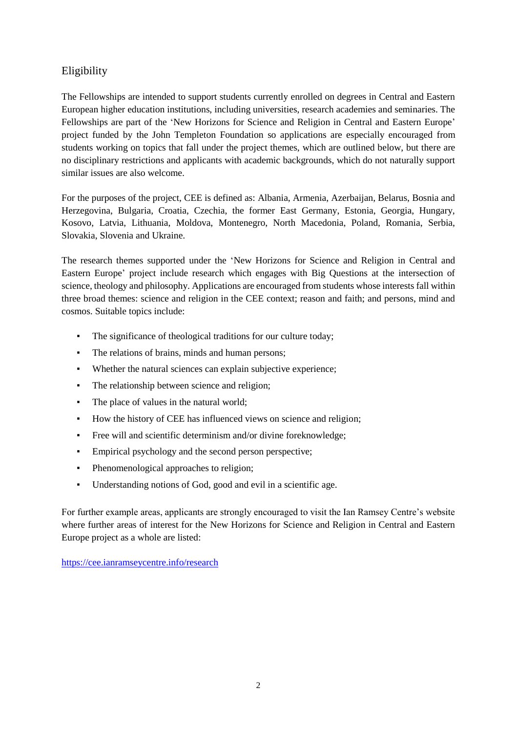## Eligibility

The Fellowships are intended to support students currently enrolled on degrees in Central and Eastern European higher education institutions, including universities, research academies and seminaries. The Fellowships are part of the 'New Horizons for Science and Religion in Central and Eastern Europe' project funded by the John Templeton Foundation so applications are especially encouraged from students working on topics that fall under the project themes, which are outlined below, but there are no disciplinary restrictions and applicants with academic backgrounds, which do not naturally support similar issues are also welcome.

For the purposes of the project, CEE is defined as: Albania, Armenia, Azerbaijan, Belarus, Bosnia and Herzegovina, Bulgaria, Croatia, Czechia, the former East Germany, Estonia, Georgia, Hungary, Kosovo, Latvia, Lithuania, Moldova, Montenegro, North Macedonia, Poland, Romania, Serbia, Slovakia, Slovenia and Ukraine.

The research themes supported under the 'New Horizons for Science and Religion in Central and Eastern Europe' project include research which engages with Big Questions at the intersection of science, theology and philosophy. Applications are encouraged from students whose interests fall within three broad themes: science and religion in the CEE context; reason and faith; and persons, mind and cosmos. Suitable topics include:

- The significance of theological traditions for our culture today;
- The relations of brains, minds and human persons;
- Whether the natural sciences can explain subjective experience;
- The relationship between science and religion;
- The place of values in the natural world;
- How the history of CEE has influenced views on science and religion;
- Free will and scientific determinism and/or divine foreknowledge;
- Empirical psychology and the second person perspective;
- Phenomenological approaches to religion;
- Understanding notions of God, good and evil in a scientific age.

For further example areas, applicants are strongly encouraged to visit the Ian Ramsey Centre's website where further areas of interest for the New Horizons for Science and Religion in Central and Eastern Europe project as a whole are listed:

<https://cee.ianramseycentre.info/research>